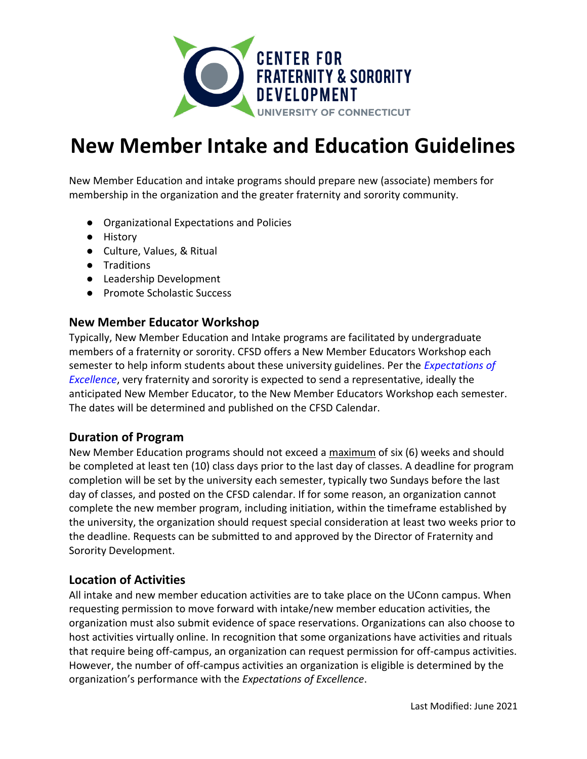

# **New Member Intake and Education Guidelines**

New Member Education and intake programs should prepare new (associate) members for membership in the organization and the greater fraternity and sorority community.

- Organizational Expectations and Policies
- History
- Culture, Values, & Ritual
- Traditions
- Leadership Development
- Promote Scholastic Success

## **New Member Educator Workshop**

Typically, New Member Education and Intake programs are facilitated by undergraduate members of a fraternity or sorority. CFSD offers a New Member Educators Workshop each semester to help inform students about these university guidelines. Per the *[Expectations of](https://greeklife.uconn.edu/excellence/)  [Excellence](https://greeklife.uconn.edu/excellence/)*, very fraternity and sorority is expected to send a representative, ideally the anticipated New Member Educator, to the New Member Educators Workshop each semester. The dates will be determined and published on the CFSD Calendar.

### **Duration of Program**

New Member Education programs should not exceed a maximum of six (6) weeks and should be completed at least ten (10) class days prior to the last day of classes. A deadline for program completion will be set by the university each semester, typically two Sundays before the last day of classes, and posted on the CFSD calendar. If for some reason, an organization cannot complete the new member program, including initiation, within the timeframe established by the university, the organization should request special consideration at least two weeks prior to the deadline. Requests can be submitted to and approved by the Director of Fraternity and Sorority Development.

### **Location of Activities**

All intake and new member education activities are to take place on the UConn campus. When requesting permission to move forward with intake/new member education activities, the organization must also submit evidence of space reservations. Organizations can also choose to host activities virtually online. In recognition that some organizations have activities and rituals that require being off-campus, an organization can request permission for off-campus activities. However, the number of off-campus activities an organization is eligible is determined by the organization's performance with the *Expectations of Excellence*.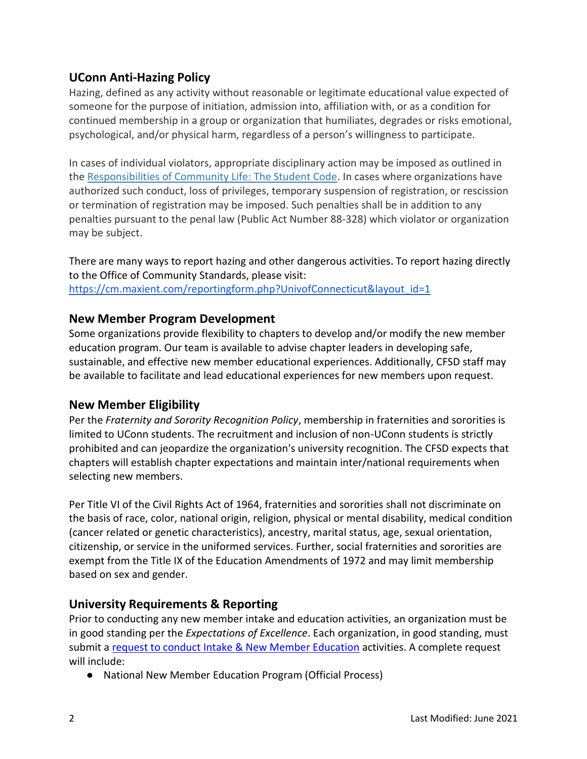# **UConn Anti-Hazing Policy**

Hazing, defined as any activity without reasonable or legitimate educational value expected of someone for the purpose of initiation, admission into, affiliation with, or as a condition for continued membership in a group or organization that humiliates, degrades or risks emotional, psychological, and/or physical harm, regardless of a person's willingness to participate.

In cases of individual violators, appropriate disciplinary action may be imposed as outlined in the [Responsibilities of Community Life: The Student Code.](http://community.uconn.edu/the-student-code-preamble/) In cases where organizations have authorized such conduct, loss of privileges, temporary suspension of registration, or rescission or termination of registration may be imposed. Such penalties shall be in addition to any penalties pursuant to the penal law (Public Act Number 88-328) which violator or organization may be subject.

There are many ways to report hazing and other dangerous activities. To report hazing directly to the Office of Community Standards, please visit: [https://cm.maxient.com/reportingform.php?UnivofConnecticut&layout\\_id=1](https://cm.maxient.com/reportingform.php?UnivofConnecticut&layout_id=1)

## **New Member Program Development**

Some organizations provide flexibility to chapters to develop and/or modify the new member education program. Our team is available to advise chapter leaders in developing safe, sustainable, and effective new member educational experiences. Additionally, CFSD staff may be available to facilitate and lead educational experiences for new members upon request.

## **New Member Eligibility**

Per the *Fraternity and Sorority Recognition Policy*, membership in fraternities and sororities is limited to UConn students. The recruitment and inclusion of non-UConn students is strictly prohibited and can jeopardize the organization's university recognition. The CFSD expects that chapters will establish chapter expectations and maintain inter/national requirements when selecting new members.

Per Title VI of the Civil Rights Act of 1964, fraternities and sororities shall not discriminate on the basis of race, color, national origin, religion, physical or mental disability, medical condition (cancer related or genetic characteristics), ancestry, marital status, age, sexual orientation, citizenship, or service in the uniformed services. Further, social fraternities and sororities are exempt from the Title IX of the Education Amendments of 1972 and may limit membership based on sex and gender.

## **University Requirements & Reporting**

Prior to conducting any new member intake and education activities, an organization must be in good standing per the *Expectations of Excellence*. Each organization, in good standing, must submit a [request to conduct Intake & New Member Education](https://greeklife.uconn.edu/intake-request/) activities. A complete request will include:

● National New Member Education Program (Official Process)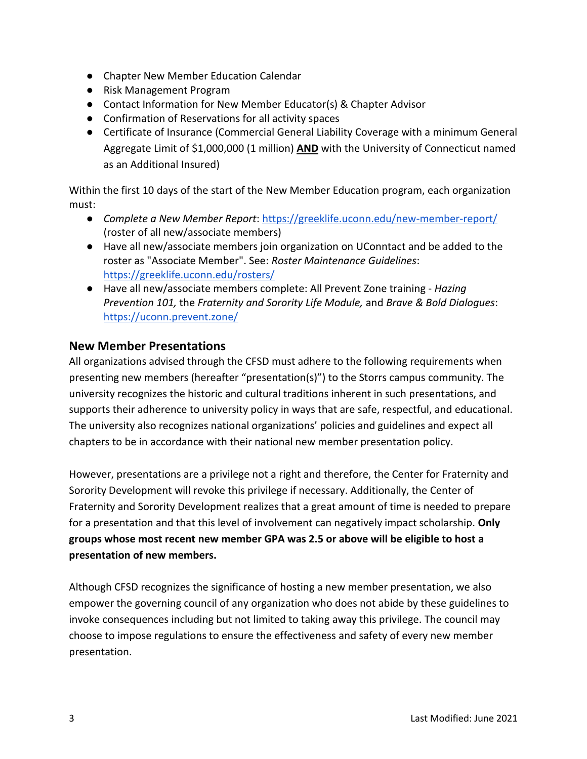- Chapter New Member Education Calendar
- Risk Management Program
- Contact Information for New Member Educator(s) & Chapter Advisor
- Confirmation of Reservations for all activity spaces
- Certificate of Insurance (Commercial General Liability Coverage with a minimum General Aggregate Limit of \$1,000,000 (1 million) **AND** with the University of Connecticut named as an Additional Insured)

Within the first 10 days of the start of the New Member Education program, each organization must:

- *Complete a New Member Report*:<https://greeklife.uconn.edu/new-member-report/> (roster of all new/associate members)
- Have all new/associate members join organization on UConntact and be added to the roster as "Associate Member". See: *Roster Maintenance Guidelines*: <https://greeklife.uconn.edu/rosters/>
- Have all new/associate members complete: All Prevent Zone training *Hazing Prevention 101,* the *Fraternity and Sorority Life Module,* and *Brave & Bold Dialogues*: <https://uconn.prevent.zone/>

## **New Member Presentations**

All organizations advised through the CFSD must adhere to the following requirements when presenting new members (hereafter "presentation(s)") to the Storrs campus community. The university recognizes the historic and cultural traditions inherent in such presentations, and supports their adherence to university policy in ways that are safe, respectful, and educational. The university also recognizes national organizations' policies and guidelines and expect all chapters to be in accordance with their national new member presentation policy.

However, presentations are a privilege not a right and therefore, the Center for Fraternity and Sorority Development will revoke this privilege if necessary. Additionally, the Center of Fraternity and Sorority Development realizes that a great amount of time is needed to prepare for a presentation and that this level of involvement can negatively impact scholarship. **Only groups whose most recent new member GPA was 2.5 or above will be eligible to host a presentation of new members.**

Although CFSD recognizes the significance of hosting a new member presentation, we also empower the governing council of any organization who does not abide by these guidelines to invoke consequences including but not limited to taking away this privilege. The council may choose to impose regulations to ensure the effectiveness and safety of every new member presentation.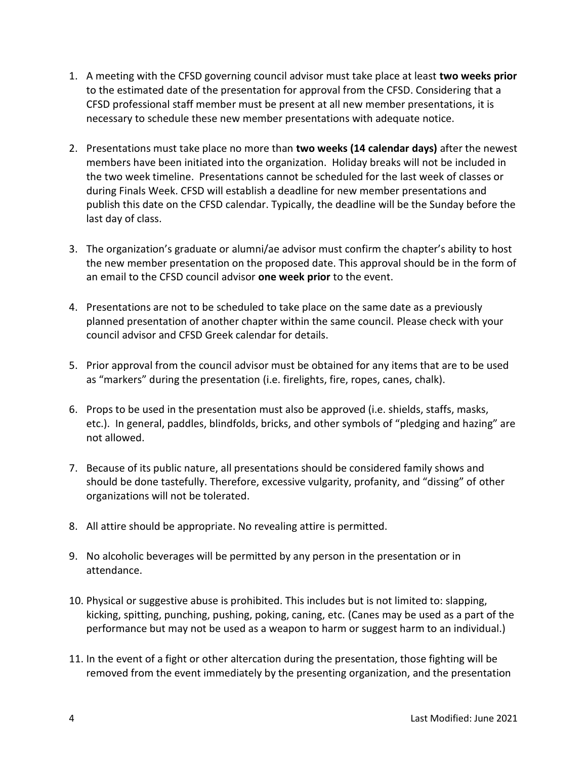- 1. A meeting with the CFSD governing council advisor must take place at least **two weeks prior** to the estimated date of the presentation for approval from the CFSD. Considering that a CFSD professional staff member must be present at all new member presentations, it is necessary to schedule these new member presentations with adequate notice.
- 2. Presentations must take place no more than **two weeks (14 calendar days)** after the newest members have been initiated into the organization. Holiday breaks will not be included in the two week timeline. Presentations cannot be scheduled for the last week of classes or during Finals Week. CFSD will establish a deadline for new member presentations and publish this date on the CFSD calendar. Typically, the deadline will be the Sunday before the last day of class.
- 3. The organization's graduate or alumni/ae advisor must confirm the chapter's ability to host the new member presentation on the proposed date. This approval should be in the form of an email to the CFSD council advisor **one week prior** to the event.
- 4. Presentations are not to be scheduled to take place on the same date as a previously planned presentation of another chapter within the same council. Please check with your council advisor and CFSD Greek calendar for details.
- 5. Prior approval from the council advisor must be obtained for any items that are to be used as "markers" during the presentation (i.e. firelights, fire, ropes, canes, chalk).
- 6. Props to be used in the presentation must also be approved (i.e. shields, staffs, masks, etc.). In general, paddles, blindfolds, bricks, and other symbols of "pledging and hazing" are not allowed.
- 7. Because of its public nature, all presentations should be considered family shows and should be done tastefully. Therefore, excessive vulgarity, profanity, and "dissing" of other organizations will not be tolerated.
- 8. All attire should be appropriate. No revealing attire is permitted.
- 9. No alcoholic beverages will be permitted by any person in the presentation or in attendance.
- 10. Physical or suggestive abuse is prohibited. This includes but is not limited to: slapping, kicking, spitting, punching, pushing, poking, caning, etc. (Canes may be used as a part of the performance but may not be used as a weapon to harm or suggest harm to an individual.)
- 11. In the event of a fight or other altercation during the presentation, those fighting will be removed from the event immediately by the presenting organization, and the presentation